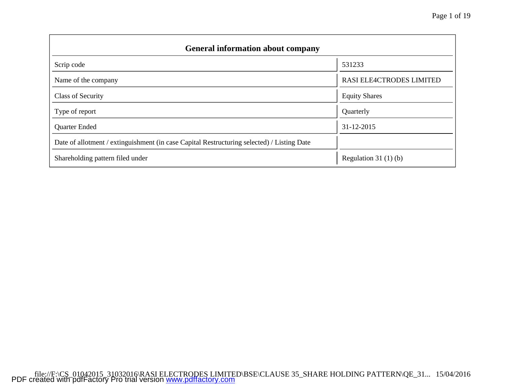| <b>General information about company</b>                                                   |                           |
|--------------------------------------------------------------------------------------------|---------------------------|
| Scrip code                                                                                 | 531233                    |
| Name of the company                                                                        | RASI ELE4CTRODES LIMITED  |
| <b>Class of Security</b>                                                                   | <b>Equity Shares</b>      |
| Type of report                                                                             | Quarterly                 |
| <b>Quarter Ended</b>                                                                       | 31-12-2015                |
| Date of allotment / extinguishment (in case Capital Restructuring selected) / Listing Date |                           |
| Shareholding pattern filed under                                                           | Regulation 31 $(1)$ $(b)$ |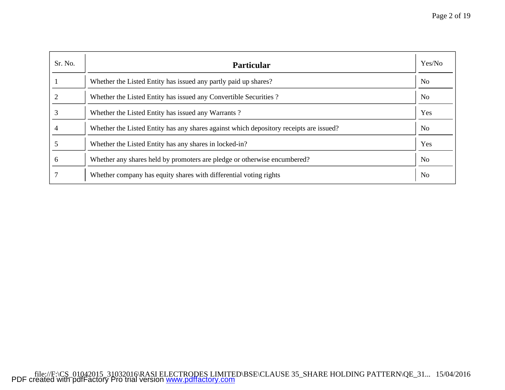| Sr. No. | <b>Particular</b>                                                                      | Yes/No         |
|---------|----------------------------------------------------------------------------------------|----------------|
|         | Whether the Listed Entity has issued any partly paid up shares?                        | N <sub>o</sub> |
|         | Whether the Listed Entity has issued any Convertible Securities?                       | N <sub>0</sub> |
|         | Whether the Listed Entity has issued any Warrants?                                     | Yes            |
|         | Whether the Listed Entity has any shares against which depository receipts are issued? | N <sub>0</sub> |
|         | Whether the Listed Entity has any shares in locked-in?                                 | Yes            |
| 6       | Whether any shares held by promoters are pledge or otherwise encumbered?               | N <sub>o</sub> |
|         | Whether company has equity shares with differential voting rights                      | N <sub>o</sub> |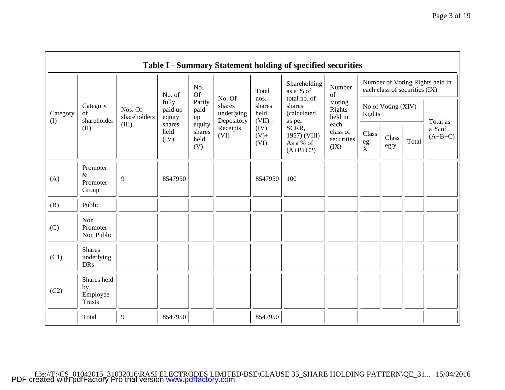|                 |                                                |                         |                            |                                 |                                                                                                                                                                                |                            | <b>Table I - Summary Statement holding of specified securities</b> |                                        |                                                                  |               |       |                                 |
|-----------------|------------------------------------------------|-------------------------|----------------------------|---------------------------------|--------------------------------------------------------------------------------------------------------------------------------------------------------------------------------|----------------------------|--------------------------------------------------------------------|----------------------------------------|------------------------------------------------------------------|---------------|-------|---------------------------------|
|                 |                                                |                         | No. of                     | No.<br>Of                       |                                                                                                                                                                                | Total                      | Shareholding<br>as a % of                                          | Number<br>of                           | Number of Voting Rights held in<br>each class of securities (IX) |               |       |                                 |
| Category<br>(I) | Category<br>of<br>shareholder                  | Nos. Of<br>shareholders | fully<br>paid up<br>equity | Partly<br>paid-<br>up           | total no. of<br>No. Of<br>nos.<br>Voting<br>shares<br>shares<br>shares<br>No of Voting (XIV)<br>Rights<br>held<br>underlying<br>(calculated<br>Rights<br>held in<br>Depository | $(VII) =$<br>as per        |                                                                    |                                        |                                                                  |               |       |                                 |
|                 | (II)                                           | (III)                   | shares<br>held<br>(IV)     | equity<br>shares<br>held<br>(V) | Receipts<br>(VI)                                                                                                                                                               | $(IV)+$<br>$(V)$ +<br>(VI) | SCRR,<br>1957) (VIII)<br>As a % of<br>$(A+B+C2)$                   | each<br>class of<br>securities<br>(IX) | Class<br>eg:<br>$\mathbf{\overset{eg:}{X}}$                      | Class<br>eg:y | Total | Total as<br>a % of<br>$(A+B+C)$ |
| (A)             | Promoter<br>$\&$<br>Promoter<br>Group          | 9                       | 8547950                    |                                 |                                                                                                                                                                                | 8547950                    | 100                                                                |                                        |                                                                  |               |       |                                 |
| (B)             | Public                                         |                         |                            |                                 |                                                                                                                                                                                |                            |                                                                    |                                        |                                                                  |               |       |                                 |
| (C)             | Non<br>Promoter-<br>Non Public                 |                         |                            |                                 |                                                                                                                                                                                |                            |                                                                    |                                        |                                                                  |               |       |                                 |
| (C1)            | <b>Shares</b><br>underlying<br><b>DRs</b>      |                         |                            |                                 |                                                                                                                                                                                |                            |                                                                    |                                        |                                                                  |               |       |                                 |
| (C2)            | Shares held<br>by<br>Employee<br><b>Trusts</b> |                         |                            |                                 |                                                                                                                                                                                |                            |                                                                    |                                        |                                                                  |               |       |                                 |
|                 | Total                                          | 9                       | 8547950                    |                                 |                                                                                                                                                                                | 8547950                    |                                                                    |                                        |                                                                  |               |       |                                 |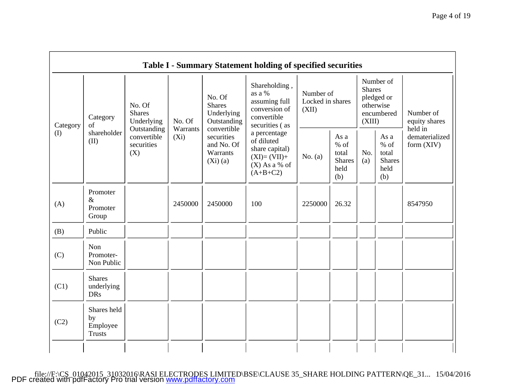|          |                                                                   |                                                 |          |                                                                     | <b>Table I - Summary Statement holding of specified securities</b>                             |                                        |                                                         |                         |                                                         |                                       |
|----------|-------------------------------------------------------------------|-------------------------------------------------|----------|---------------------------------------------------------------------|------------------------------------------------------------------------------------------------|----------------------------------------|---------------------------------------------------------|-------------------------|---------------------------------------------------------|---------------------------------------|
| Category | No. Of<br><b>Shares</b><br>Category<br>No. Of<br>Underlying<br>of |                                                 | Warrants | No. Of<br><b>Shares</b><br>Underlying<br>Outstanding<br>convertible | Shareholding,<br>as a %<br>assuming full<br>conversion of<br>convertible<br>securities (as     | Number of<br>Locked in shares<br>(XII) |                                                         | <b>Shares</b><br>(XIII) | Number of<br>pledged or<br>otherwise<br>encumbered      | Number of<br>equity shares<br>held in |
| (I)      | shareholder<br>(II)                                               | Outstanding<br>convertible<br>securities<br>(X) | $(X_i)$  | securities<br>and No. Of<br>Warrants<br>$(Xi)$ (a)                  | a percentage<br>of diluted<br>share capital)<br>$(XI)=(VII)+$<br>$(X)$ As a % of<br>$(A+B+C2)$ | No. $(a)$                              | As a<br>$%$ of<br>total<br><b>Shares</b><br>held<br>(b) | No.<br>(a)              | As a<br>$%$ of<br>total<br><b>Shares</b><br>held<br>(b) | dematerialized<br>form $(XIV)$        |
| (A)      | Promoter<br>$\&$<br>Promoter<br>Group                             |                                                 | 2450000  | 2450000                                                             | 100                                                                                            | 2250000                                | 26.32                                                   |                         |                                                         | 8547950                               |
| (B)      | Public                                                            |                                                 |          |                                                                     |                                                                                                |                                        |                                                         |                         |                                                         |                                       |
| (C)      | <b>Non</b><br>Promoter-<br>Non Public                             |                                                 |          |                                                                     |                                                                                                |                                        |                                                         |                         |                                                         |                                       |
| (C1)     | <b>Shares</b><br>underlying<br><b>DRs</b>                         |                                                 |          |                                                                     |                                                                                                |                                        |                                                         |                         |                                                         |                                       |
| (C2)     | Shares held<br>by<br>Employee<br><b>Trusts</b>                    |                                                 |          |                                                                     |                                                                                                |                                        |                                                         |                         |                                                         |                                       |
|          |                                                                   |                                                 |          |                                                                     |                                                                                                |                                        |                                                         |                         |                                                         |                                       |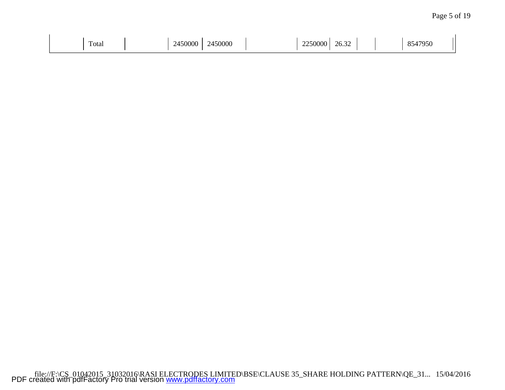| $\mathbf{r}$<br>Total | 50000<br>. | 2450000 | $\sim$ $\sim$ $\sim$ $\sim$<br>25000C<br>$- - -$ | $\sim$<br>26.32 |  | 17950<br>74 |  |
|-----------------------|------------|---------|--------------------------------------------------|-----------------|--|-------------|--|
|                       |            |         |                                                  |                 |  |             |  |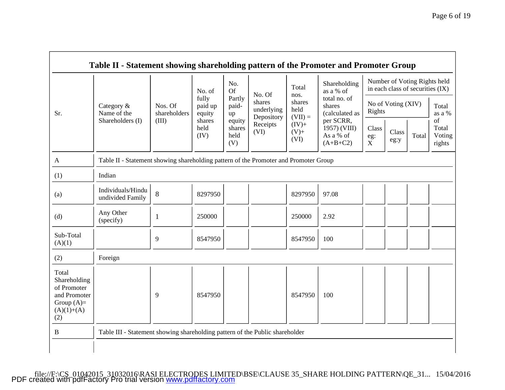|                                                                                             |                                                                                      |                         | No. of                     | No.<br><b>Of</b>                | No. Of                             | Total<br>nos.               | Shareholding<br>as a % of                            |                                | Number of Voting Rights held<br>in each class of securities (IX) |       |                                 |
|---------------------------------------------------------------------------------------------|--------------------------------------------------------------------------------------|-------------------------|----------------------------|---------------------------------|------------------------------------|-----------------------------|------------------------------------------------------|--------------------------------|------------------------------------------------------------------|-------|---------------------------------|
| Sr.                                                                                         | Category &<br>Name of the                                                            | Nos. Of<br>shareholders | fully<br>paid up<br>equity | Partly<br>paid-<br>up           | shares<br>underlying<br>Depository | shares<br>held<br>$(VII) =$ | total no. of<br>shares<br>(calculated as             | Rights                         | No of Voting (XIV)                                               |       | Total<br>as a %                 |
|                                                                                             | Shareholders (I)                                                                     | (III)                   | shares<br>held<br>(IV)     | equity<br>shares<br>held<br>(V) | Receipts<br>(VI)                   | $(IV) +$<br>$(V)$ +<br>(VI) | per SCRR,<br>1957) (VIII)<br>As a % of<br>$(A+B+C2)$ | Class<br>eg:<br>$\overline{X}$ | Class<br>eg:y                                                    | Total | of<br>Total<br>Voting<br>rights |
| $\mathbf{A}$                                                                                | Table II - Statement showing shareholding pattern of the Promoter and Promoter Group |                         |                            |                                 |                                    |                             |                                                      |                                |                                                                  |       |                                 |
| (1)                                                                                         | Indian                                                                               |                         |                            |                                 |                                    |                             |                                                      |                                |                                                                  |       |                                 |
| (a)                                                                                         | Individuals/Hindu<br>undivided Family                                                | 8                       | 8297950                    |                                 |                                    | 8297950                     | 97.08                                                |                                |                                                                  |       |                                 |
| (d)                                                                                         | Any Other<br>(specify)                                                               | $\mathbf{1}$            | 250000                     |                                 |                                    | 250000                      | 2.92                                                 |                                |                                                                  |       |                                 |
| Sub-Total<br>(A)(1)                                                                         |                                                                                      | 9                       | 8547950                    |                                 |                                    | 8547950                     | 100                                                  |                                |                                                                  |       |                                 |
| (2)                                                                                         | Foreign                                                                              |                         |                            |                                 |                                    |                             |                                                      |                                |                                                                  |       |                                 |
| Total<br>Shareholding<br>of Promoter<br>and Promoter<br>Group $(A)=$<br>$(A)(1)+(A)$<br>(2) |                                                                                      | 9                       | 8547950                    |                                 |                                    | 8547950                     | 100                                                  |                                |                                                                  |       |                                 |
| B                                                                                           | Table III - Statement showing shareholding pattern of the Public shareholder         |                         |                            |                                 |                                    |                             |                                                      |                                |                                                                  |       |                                 |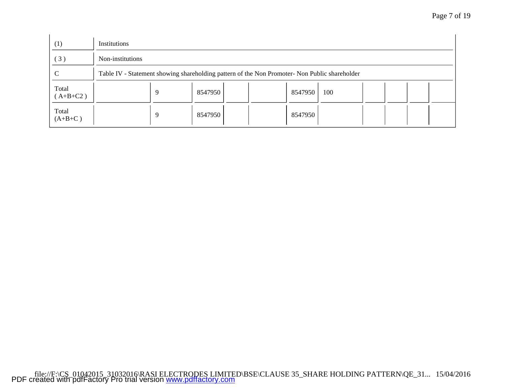| Page 7 of 19 |  |
|--------------|--|
|--------------|--|

| (1)                 | Institutions                                                                                  |   |         |  |         |     |  |  |
|---------------------|-----------------------------------------------------------------------------------------------|---|---------|--|---------|-----|--|--|
| (3)                 | Non-institutions                                                                              |   |         |  |         |     |  |  |
| C                   | Table IV - Statement showing shareholding pattern of the Non Promoter- Non Public shareholder |   |         |  |         |     |  |  |
| Total<br>$(A+B+C2)$ |                                                                                               | Q | 8547950 |  | 8547950 | 100 |  |  |
| Total<br>$(A+B+C)$  |                                                                                               | Q | 8547950 |  | 8547950 |     |  |  |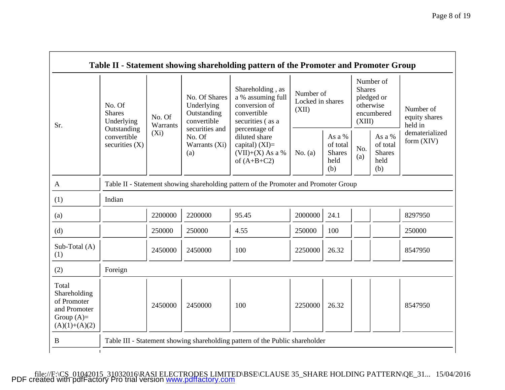| Sr.                                                                                     | No. Of<br><b>Shares</b><br>No. Of<br>Underlying<br>Warrants | No. Of Shares<br>Underlying<br>Outstanding<br>convertible | Shareholding, as<br>a % assuming full<br>conversion of<br>convertible<br>securities (as a | Number of<br>(XII)                                                                        | Locked in shares |                                                    | Number of<br><b>Shares</b><br>pledged or<br>otherwise<br>encumbered<br>(XIII) | Number of<br>equity shares<br>held in              |                                |
|-----------------------------------------------------------------------------------------|-------------------------------------------------------------|-----------------------------------------------------------|-------------------------------------------------------------------------------------------|-------------------------------------------------------------------------------------------|------------------|----------------------------------------------------|-------------------------------------------------------------------------------|----------------------------------------------------|--------------------------------|
|                                                                                         | Outstanding<br>convertible<br>securities $(X)$              | $(X_i)$                                                   | securities and<br>No. Of<br>Warrants (Xi)<br>(a)                                          | percentage of<br>diluted share<br>capital) $(XI)=$<br>$(VII)+(X)$ As a %<br>of $(A+B+C2)$ | No. $(a)$        | As a %<br>of total<br><b>Shares</b><br>held<br>(b) | No.<br>(a)                                                                    | As a %<br>of total<br><b>Shares</b><br>held<br>(b) | dematerialized<br>form $(XIV)$ |
| A                                                                                       |                                                             |                                                           |                                                                                           | Table II - Statement showing shareholding pattern of the Promoter and Promoter Group      |                  |                                                    |                                                                               |                                                    |                                |
| (1)                                                                                     | Indian                                                      |                                                           |                                                                                           |                                                                                           |                  |                                                    |                                                                               |                                                    |                                |
| (a)                                                                                     |                                                             | 2200000                                                   | 2200000                                                                                   | 95.45                                                                                     | 2000000          | 24.1                                               |                                                                               |                                                    | 8297950                        |
| (d)                                                                                     |                                                             | 250000                                                    | 250000                                                                                    | 4.55                                                                                      | 250000           | 100                                                |                                                                               |                                                    | 250000                         |
| Sub-Total (A)<br>(1)                                                                    |                                                             | 2450000                                                   | 2450000                                                                                   | 100                                                                                       | 2250000          | 26.32                                              |                                                                               |                                                    | 8547950                        |
| (2)                                                                                     | Foreign                                                     |                                                           |                                                                                           |                                                                                           |                  |                                                    |                                                                               |                                                    |                                |
| Total<br>Shareholding<br>of Promoter<br>and Promoter<br>Group $(A)=$<br>$(A)(1)+(A)(2)$ |                                                             | 2450000                                                   | 2450000                                                                                   | 100                                                                                       | 2250000          | 26.32                                              |                                                                               |                                                    | 8547950                        |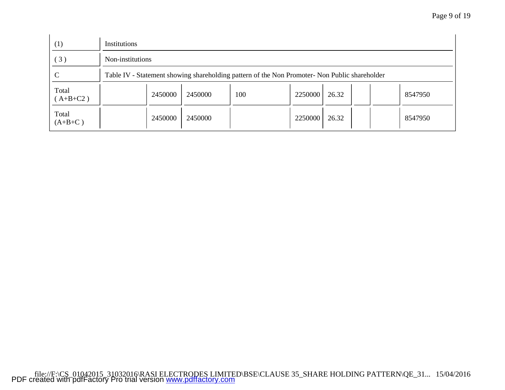| (1)                 | Institutions                                                                                  |         |     |         |       |         |
|---------------------|-----------------------------------------------------------------------------------------------|---------|-----|---------|-------|---------|
| (3)                 | Non-institutions                                                                              |         |     |         |       |         |
| $\mathcal{C}$       | Table IV - Statement showing shareholding pattern of the Non Promoter- Non Public shareholder |         |     |         |       |         |
| Total<br>$(A+B+C2)$ | 2450000                                                                                       | 2450000 | 100 | 2250000 | 26.32 | 8547950 |
| Total<br>$(A+B+C)$  | 2450000                                                                                       | 2450000 |     | 2250000 | 26.32 | 8547950 |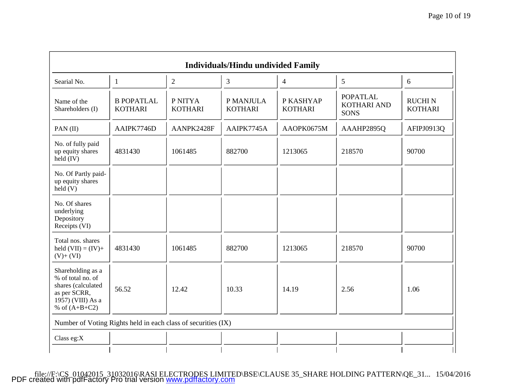| Searial No.                                                                                                          | $\mathbf{1}$                        | 2                         | 3                           | $\overline{4}$              | 5                                                    | 6                               |
|----------------------------------------------------------------------------------------------------------------------|-------------------------------------|---------------------------|-----------------------------|-----------------------------|------------------------------------------------------|---------------------------------|
| Name of the<br>Shareholders (I)                                                                                      | <b>B POPATLAL</b><br><b>KOTHARI</b> | P NITYA<br><b>KOTHARI</b> | P MANJULA<br><b>KOTHARI</b> | P KASHYAP<br><b>KOTHARI</b> | <b>POPATLAL</b><br><b>KOTHARI AND</b><br><b>SONS</b> | <b>RUCHIN</b><br><b>KOTHARI</b> |
| $PAN$ (II)                                                                                                           | AAIPK7746D                          | AANPK2428F                | AAIPK7745A                  | AAOPK0675M                  | AAAHP2895Q                                           | AFIPJ0913Q                      |
| No. of fully paid<br>up equity shares<br>$held$ (IV)                                                                 | 4831430                             | 1061485                   | 882700                      | 1213065                     | 218570                                               | 90700                           |
| No. Of Partly paid-<br>up equity shares<br>$\text{held}(V)$                                                          |                                     |                           |                             |                             |                                                      |                                 |
| No. Of shares<br>underlying<br>Depository<br>Receipts (VI)                                                           |                                     |                           |                             |                             |                                                      |                                 |
| Total nos. shares<br>held $(VII) = (IV) +$<br>$(V)+(VI)$                                                             | 4831430                             | 1061485                   | 882700                      | 1213065                     | 218570                                               | 90700                           |
| Shareholding as a<br>% of total no. of<br>shares (calculated<br>as per SCRR,<br>1957) (VIII) As a<br>% of $(A+B+C2)$ | 56.52                               | 12.42                     | 10.33                       | 14.19                       | 2.56                                                 | 1.06                            |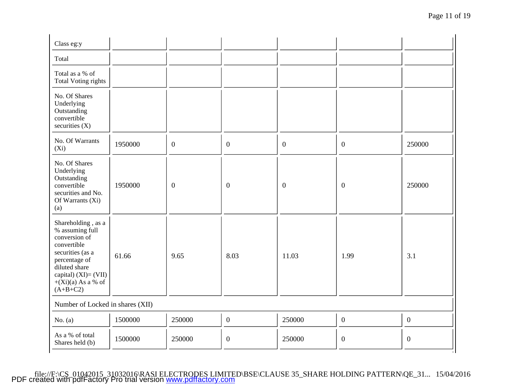| Class eg:y                                                                                                                                                                                   |         |              |                  |                  |                  |                |
|----------------------------------------------------------------------------------------------------------------------------------------------------------------------------------------------|---------|--------------|------------------|------------------|------------------|----------------|
| Total                                                                                                                                                                                        |         |              |                  |                  |                  |                |
| Total as a % of<br><b>Total Voting rights</b>                                                                                                                                                |         |              |                  |                  |                  |                |
| No. Of Shares<br>Underlying<br>Outstanding<br>convertible<br>securities $(X)$                                                                                                                |         |              |                  |                  |                  |                |
| No. Of Warrants<br>$(X_i)$                                                                                                                                                                   | 1950000 | $\mathbf{0}$ | $\mathbf{0}$     | $\mathbf{0}$     | $\mathbf{0}$     | 250000         |
| No. Of Shares<br>Underlying<br>Outstanding<br>convertible<br>securities and No.<br>Of Warrants (Xi)<br>(a)                                                                                   | 1950000 | $\mathbf{0}$ | $\boldsymbol{0}$ | $\boldsymbol{0}$ | $\boldsymbol{0}$ | 250000         |
| Shareholding, as a<br>% assuming full<br>conversion of<br>convertible<br>securities (as a<br>percentage of<br>diluted share<br>capital) $(XI) = (VII)$<br>$+(Xi)(a)$ As a % of<br>$(A+B+C2)$ | 61.66   | 9.65         | 8.03             | 11.03            | 1.99             | 3.1            |
| Number of Locked in shares (XII)                                                                                                                                                             |         |              |                  |                  |                  |                |
| No. $(a)$                                                                                                                                                                                    | 1500000 | 250000       | $\boldsymbol{0}$ | 250000           | $\overline{0}$   | $\mathbf{0}$   |
| As a % of total<br>Shares held (b)                                                                                                                                                           | 1500000 | 250000       | $\mathbf{0}$     | 250000           | $\mathbf{0}$     | $\overline{0}$ |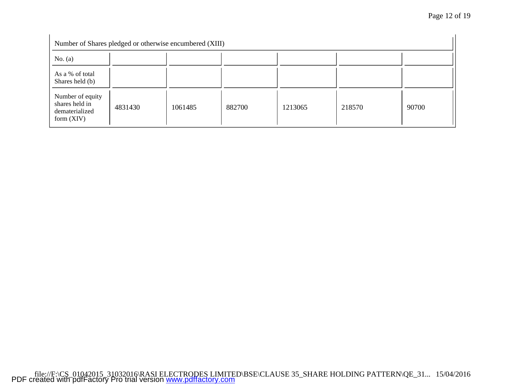| Number of Shares pledged or otherwise encumbered (XIII)              |         |         |        |         |        |       |
|----------------------------------------------------------------------|---------|---------|--------|---------|--------|-------|
| No. $(a)$                                                            |         |         |        |         |        |       |
| As a % of total<br>Shares held (b)                                   |         |         |        |         |        |       |
| Number of equity<br>shares held in<br>dematerialized<br>form $(XIV)$ | 4831430 | 1061485 | 882700 | 1213065 | 218570 | 90700 |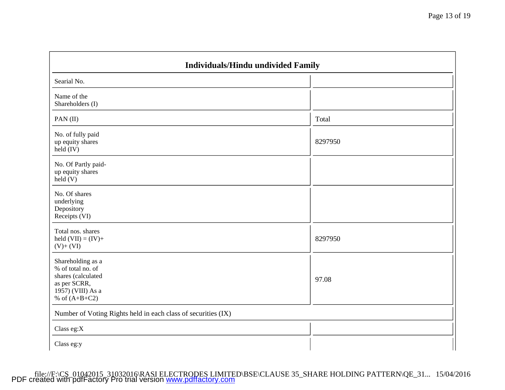| Searial No.                                                                                                          |         |  |
|----------------------------------------------------------------------------------------------------------------------|---------|--|
| Name of the<br>Shareholders (I)                                                                                      |         |  |
| PAN(II)                                                                                                              | Total   |  |
| No. of fully paid<br>up equity shares<br>held (IV)                                                                   | 8297950 |  |
| No. Of Partly paid-<br>up equity shares<br>held(V)                                                                   |         |  |
| No. Of shares<br>underlying<br>Depository<br>Receipts (VI)                                                           |         |  |
| Total nos. shares<br>held $(VII) = (IV) +$<br>$(V)+(VI)$                                                             | 8297950 |  |
| Shareholding as a<br>% of total no. of<br>shares (calculated<br>as per SCRR,<br>1957) (VIII) As a<br>% of $(A+B+C2)$ | 97.08   |  |
| Number of Voting Rights held in each class of securities (IX)                                                        |         |  |
| Class eg:X                                                                                                           |         |  |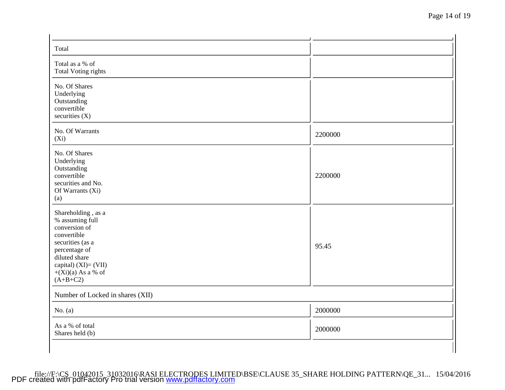| Total                                                                                                                                                                                      |         |  |
|--------------------------------------------------------------------------------------------------------------------------------------------------------------------------------------------|---------|--|
| Total as a % of<br><b>Total Voting rights</b>                                                                                                                                              |         |  |
| No. Of Shares<br>Underlying<br>Outstanding<br>convertible<br>securities $(X)$                                                                                                              |         |  |
| No. Of Warrants<br>$(X_i)$                                                                                                                                                                 | 2200000 |  |
| No. Of Shares<br>Underlying<br>Outstanding<br>convertible<br>securities and No.<br>Of Warrants (Xi)<br>(a)                                                                                 | 2200000 |  |
| Shareholding, as a<br>% assuming full<br>conversion of<br>convertible<br>securities (as a<br>percentage of<br>diluted share<br>capital) $(XI)=(VII)$<br>$+(Xi)(a)$ As a % of<br>$(A+B+C2)$ | 95.45   |  |
| Number of Locked in shares (XII)                                                                                                                                                           |         |  |
| No. $(a)$                                                                                                                                                                                  | 2000000 |  |
| As a % of total<br>Shares held (b)                                                                                                                                                         | 2000000 |  |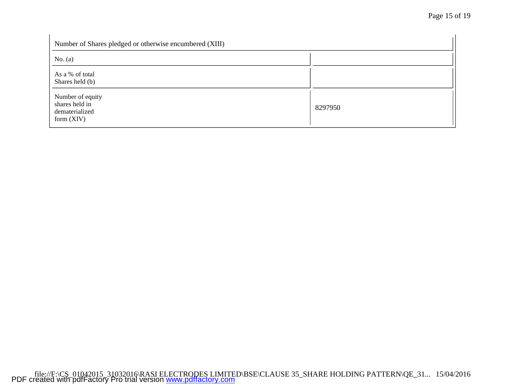| Number of Shares pledged or otherwise encumbered (XIII)              |         |
|----------------------------------------------------------------------|---------|
| No. $(a)$                                                            |         |
| As a % of total<br>Shares held (b)                                   |         |
| Number of equity<br>shares held in<br>dematerialized<br>form $(XIV)$ | 8297950 |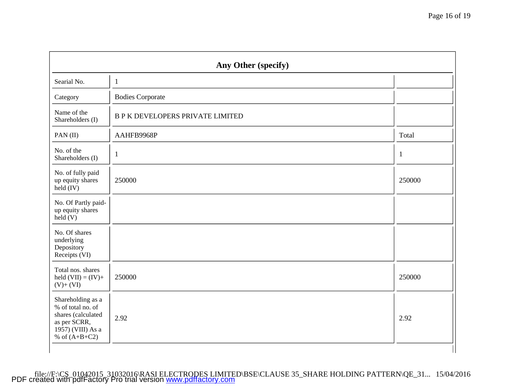| Any Other (specify)                                                                                                  |                                         |              |
|----------------------------------------------------------------------------------------------------------------------|-----------------------------------------|--------------|
| Searial No.                                                                                                          | $\mathbf{1}$                            |              |
| Category                                                                                                             | <b>Bodies Corporate</b>                 |              |
| Name of the<br>Shareholders (I)                                                                                      | <b>B P K DEVELOPERS PRIVATE LIMITED</b> |              |
| PAN(II)                                                                                                              | AAHFB9968P                              | Total        |
| No. of the<br>Shareholders (I)                                                                                       | $\mathbf{1}$                            | $\mathbf{1}$ |
| No. of fully paid<br>up equity shares<br>$held$ (IV)                                                                 | 250000                                  | 250000       |
| No. Of Partly paid-<br>up equity shares<br>held(V)                                                                   |                                         |              |
| No. Of shares<br>underlying<br>Depository<br>Receipts (VI)                                                           |                                         |              |
| Total nos. shares<br>held $(VII) = (IV) +$<br>$(V)+(VI)$                                                             | 250000                                  | 250000       |
| Shareholding as a<br>% of total no. of<br>shares (calculated<br>as per SCRR,<br>1957) (VIII) As a<br>% of $(A+B+C2)$ | 2.92                                    | 2.92         |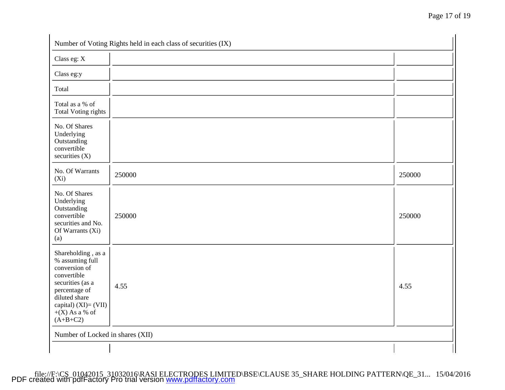| Class eg: X                                                                                                                                                                            |        |        |
|----------------------------------------------------------------------------------------------------------------------------------------------------------------------------------------|--------|--------|
| Class eg:y                                                                                                                                                                             |        |        |
| Total                                                                                                                                                                                  |        |        |
| Total as a % of<br><b>Total Voting rights</b>                                                                                                                                          |        |        |
| No. Of Shares<br>Underlying<br>Outstanding<br>convertible<br>securities $(X)$                                                                                                          |        |        |
| No. Of Warrants<br>$(X_i)$                                                                                                                                                             | 250000 | 250000 |
| No. Of Shares<br>Underlying<br>Outstanding<br>convertible<br>securities and No.<br>Of Warrants (Xi)<br>(a)                                                                             | 250000 | 250000 |
| Shareholding, as a<br>% assuming full<br>conversion of<br>convertible<br>securities (as a<br>percentage of<br>diluted share<br>capital) $(XI)=(VII)$<br>$+(X)$ As a % of<br>$(A+B+C2)$ | 4.55   | 4.55   |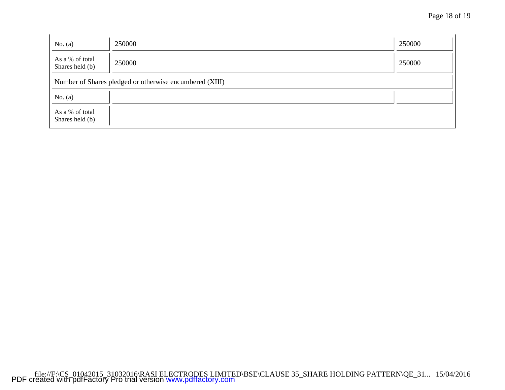| No. $(a)$                                               | 250000 | 250000 |  |
|---------------------------------------------------------|--------|--------|--|
| As a % of total<br>Shares held (b)                      | 250000 | 250000 |  |
| Number of Shares pledged or otherwise encumbered (XIII) |        |        |  |
| No. $(a)$                                               |        |        |  |
| As a % of total<br>Shares held (b)                      |        |        |  |